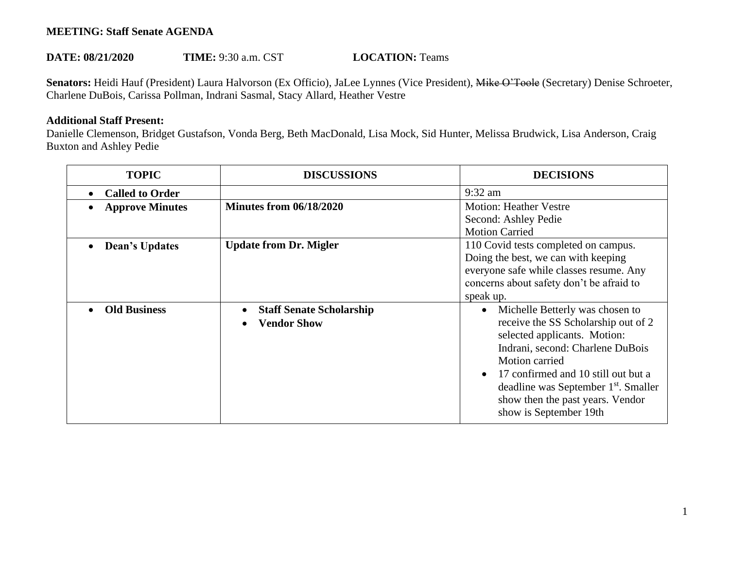## **MEETING: Staff Senate AGENDA**

## **DATE: 08/21/2020 TIME: 9:30 a.m. CST <b>LOCATION:** Teams

Senators: Heidi Hauf (President) Laura Halvorson (Ex Officio), JaLee Lynnes (Vice President), Mike O'Toole (Secretary) Denise Schroeter, Charlene DuBois, Carissa Pollman, Indrani Sasmal, Stacy Allard, Heather Vestre

## **Additional Staff Present:**

Danielle Clemenson, Bridget Gustafson, Vonda Berg, Beth MacDonald, Lisa Mock, Sid Hunter, Melissa Brudwick, Lisa Anderson, Craig Buxton and Ashley Pedie

| <b>TOPIC</b>           | <b>DISCUSSIONS</b>                                    | <b>DECISIONS</b>                                                                                                                                                                                                                                                                                                      |
|------------------------|-------------------------------------------------------|-----------------------------------------------------------------------------------------------------------------------------------------------------------------------------------------------------------------------------------------------------------------------------------------------------------------------|
| <b>Called to Order</b> |                                                       | $9:32$ am                                                                                                                                                                                                                                                                                                             |
| <b>Approve Minutes</b> | <b>Minutes from 06/18/2020</b>                        | <b>Motion: Heather Vestre</b><br>Second: Ashley Pedie<br><b>Motion Carried</b>                                                                                                                                                                                                                                        |
| <b>Dean's Updates</b>  | <b>Update from Dr. Migler</b>                         | 110 Covid tests completed on campus.<br>Doing the best, we can with keeping<br>everyone safe while classes resume. Any<br>concerns about safety don't be afraid to<br>speak up.                                                                                                                                       |
| <b>Old Business</b>    | <b>Staff Senate Scholarship</b><br><b>Vendor Show</b> | Michelle Betterly was chosen to<br>receive the SS Scholarship out of 2<br>selected applicants. Motion:<br>Indrani, second: Charlene DuBois<br>Motion carried<br>17 confirmed and 10 still out but a<br>deadline was September 1 <sup>st</sup> . Smaller<br>show then the past years. Vendor<br>show is September 19th |